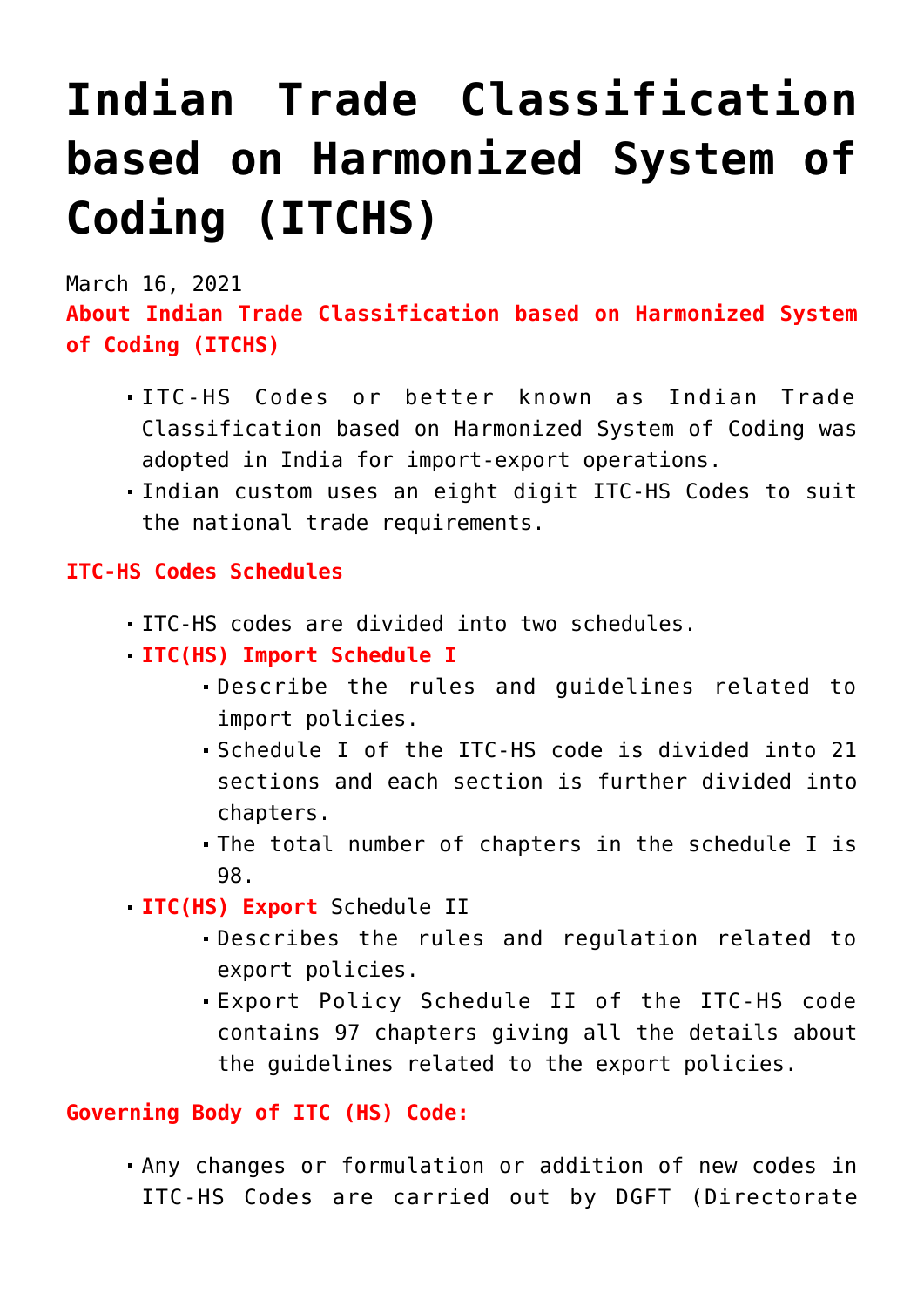## **[Indian Trade Classification](https://journalsofindia.com/indian-trade-classification-based-on-harmonized-system-of-coding-itchs/) [based on Harmonized System of](https://journalsofindia.com/indian-trade-classification-based-on-harmonized-system-of-coding-itchs/) [Coding \(ITCHS\)](https://journalsofindia.com/indian-trade-classification-based-on-harmonized-system-of-coding-itchs/)**

March 16, 2021

**About Indian Trade Classification based on Harmonized System of Coding (ITCHS)**

- ITC-HS Codes or better known as Indian Trade Classification based on Harmonized System of Coding was adopted in India for import-export operations.
- Indian custom uses an eight digit ITC-HS Codes to suit the national trade requirements.

## **ITC-HS Codes Schedules**

- ITC-HS codes are divided into two schedules.
- **ITC(HS) Import Schedule I** 
	- Describe the rules and guidelines related to import policies.
	- Schedule I of the ITC-HS code is divided into 21 sections and each section is further divided into chapters.
	- The total number of chapters in the schedule I is 98.
- **ITC(HS) Export** Schedule II
	- Describes the rules and regulation related to export policies.
	- Export Policy Schedule II of the ITC-HS code contains 97 chapters giving all the details about the guidelines related to the export policies.

## **Governing Body of ITC (HS) Code:**

Any changes or formulation or addition of new codes in ITC-HS Codes are carried out by DGFT (Directorate